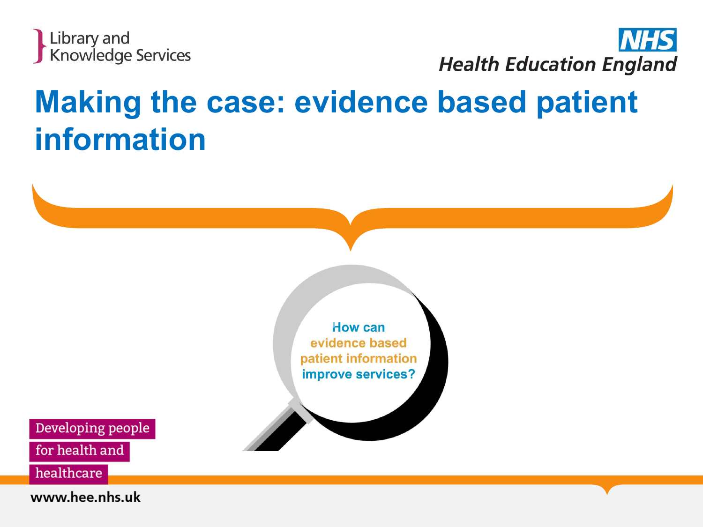



#### **Making the case: evidence based patient information**

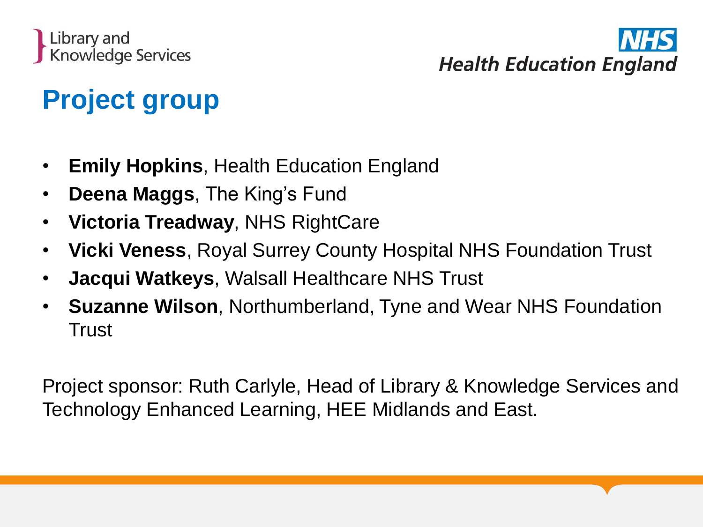



#### **Project group**

- **Emily Hopkins**, Health Education England
- **Deena Maggs**, The King's Fund
- **Victoria Treadway**, NHS RightCare
- **Vicki Veness**, Royal Surrey County Hospital NHS Foundation Trust
- **Jacqui Watkeys**, Walsall Healthcare NHS Trust
- **Suzanne Wilson**, Northumberland, Tyne and Wear NHS Foundation **Trust**

Project sponsor: Ruth Carlyle, Head of Library & Knowledge Services and Technology Enhanced Learning, HEE Midlands and East.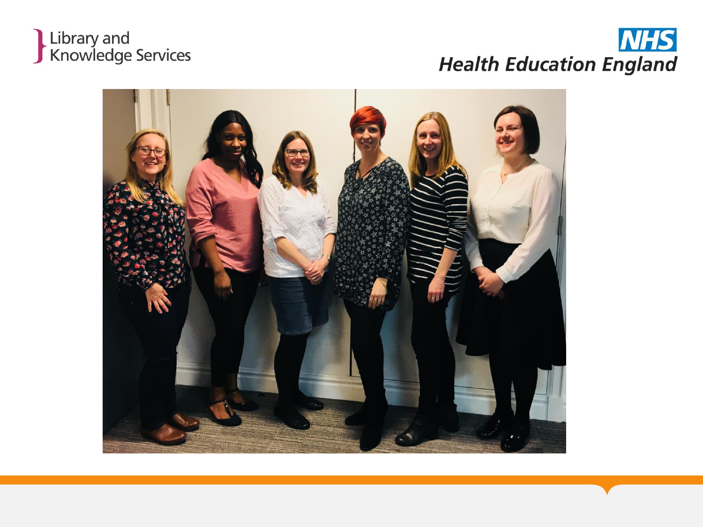### Library and<br>Knowledge Services

#### **NHS Health Education England**

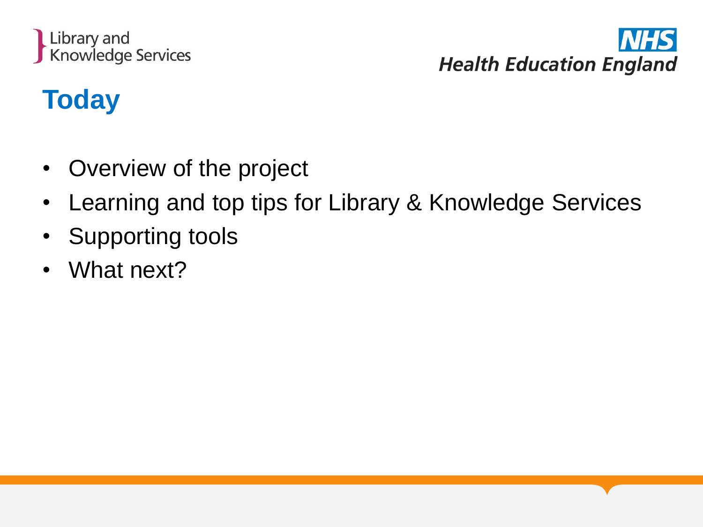



#### **Today**

- Overview of the project
- Learning and top tips for Library & Knowledge Services
- Supporting tools
- What next?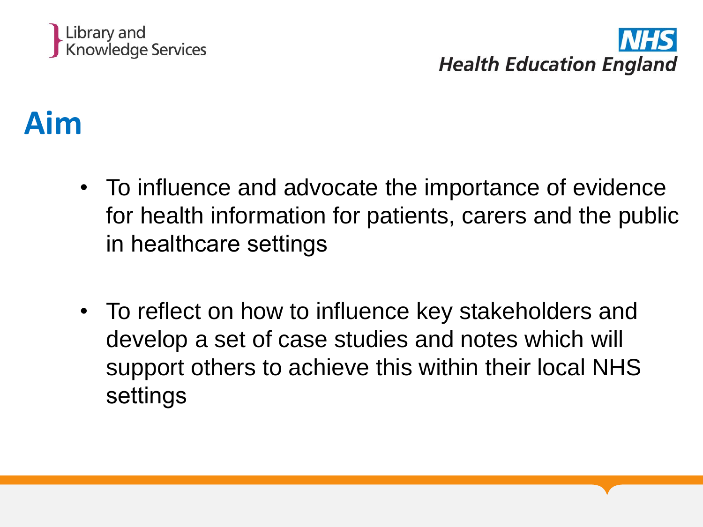

#### **Aim**

- To influence and advocate the importance of evidence for health information for patients, carers and the public in healthcare settings
- To reflect on how to influence key stakeholders and develop a set of case studies and notes which will support others to achieve this within their local NHS settings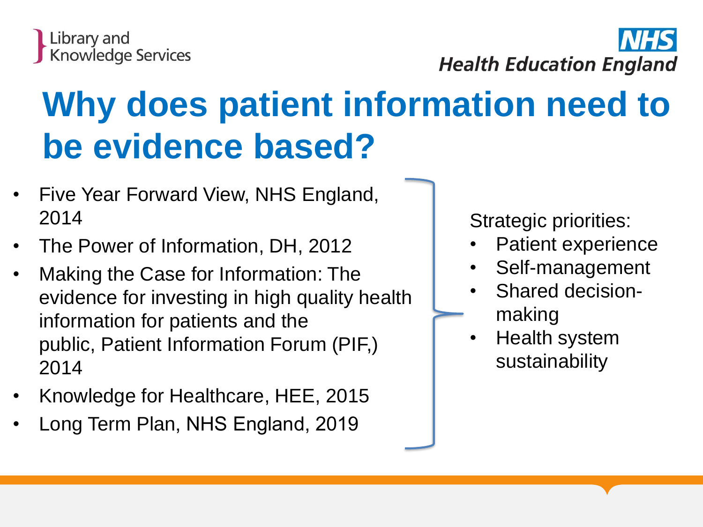

## **Why does patient information need to be evidence based?**

- Five Year Forward View, NHS England, 2014
- The Power of Information, DH, 2012
- Making the Case for Information: The evidence for investing in high quality health information for patients and the public, Patient Information Forum (PIF,) 2014
- Knowledge for Healthcare, HEE, 2015
- Long Term Plan, NHS England, 2019

Strategic priorities:

- Patient experience
- Self-management
- Shared decisionmaking
- Health system sustainability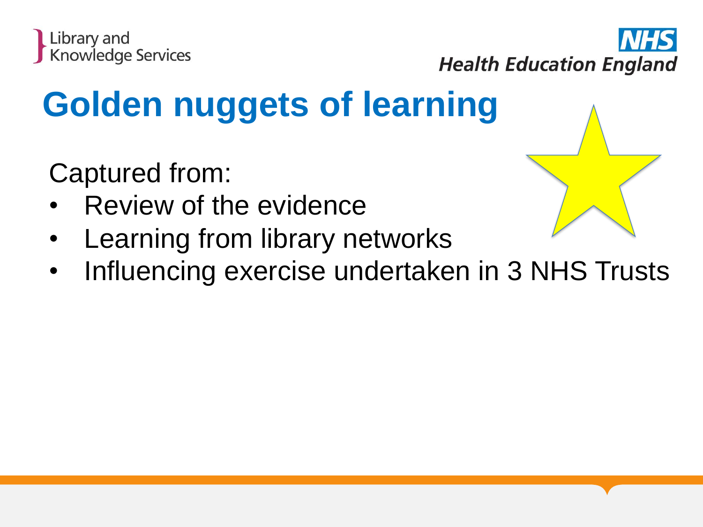



## **Golden nuggets of learning**

Captured from:

- Review of the evidence
- Learning from library networks
- Influencing exercise undertaken in 3 NHS Trusts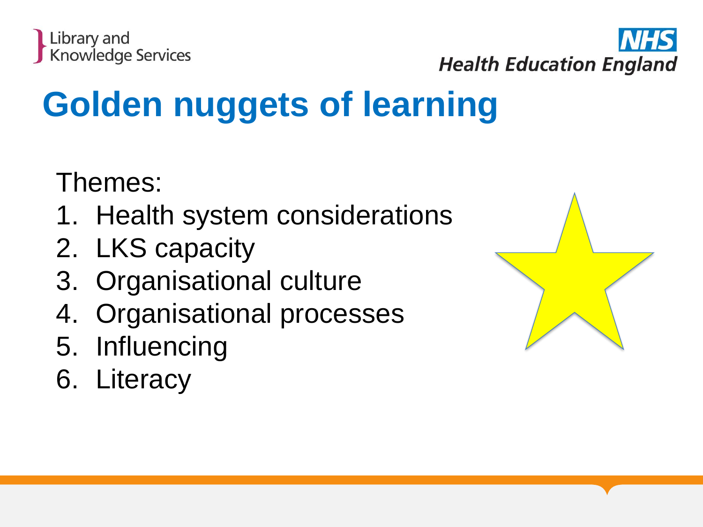



## **Golden nuggets of learning**

Themes:

- 1. Health system considerations
- 2. LKS capacity
- 3. Organisational culture
- 4. Organisational processes
- 5. Influencing
- 6. Literacy

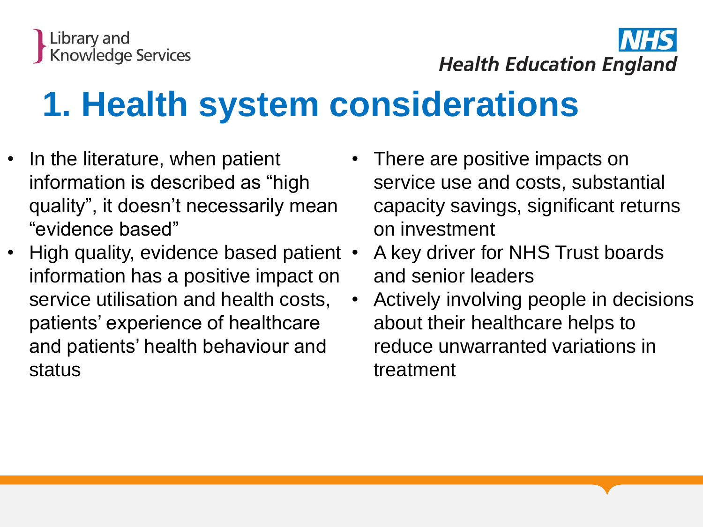

### **1. Health system considerations**

- In the literature, when patient information is described as "high quality", it doesn't necessarily mean "evidence based"
- High quality, evidence based patient information has a positive impact on service utilisation and health costs, patients' experience of healthcare and patients' health behaviour and status
- There are positive impacts on service use and costs, substantial capacity savings, significant returns on investment
- A key driver for NHS Trust boards and senior leaders
	- Actively involving people in decisions about their healthcare helps to reduce unwarranted variations in treatment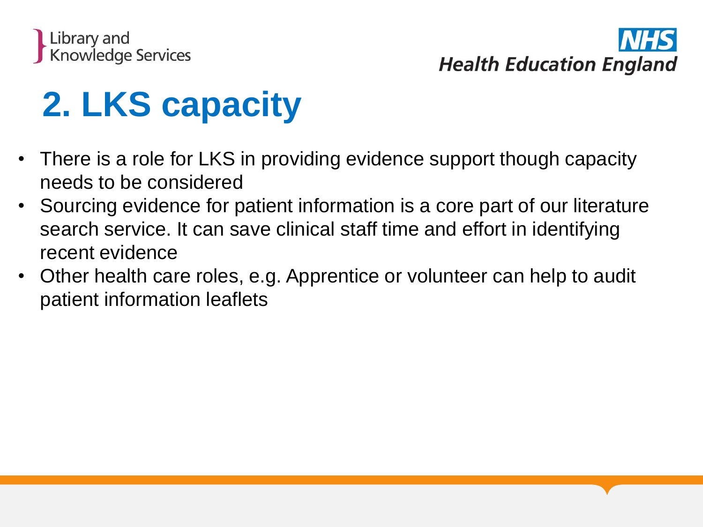



### **2. LKS capacity**

- There is a role for LKS in providing evidence support though capacity needs to be considered
- Sourcing evidence for patient information is a core part of our literature search service. It can save clinical staff time and effort in identifying recent evidence
- Other health care roles, e.g. Apprentice or volunteer can help to audit patient information leaflets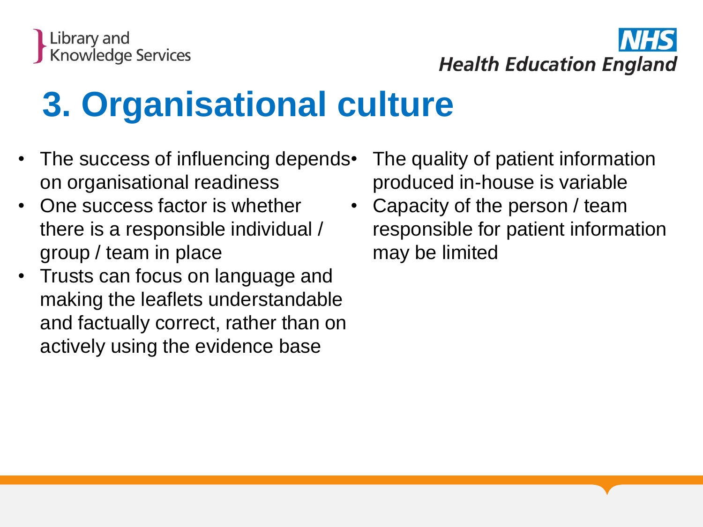

## **3. Organisational culture**

- The success of influencing depends. on organisational readiness
- One success factor is whether there is a responsible individual / group / team in place
- Trusts can focus on language and making the leaflets understandable and factually correct, rather than on actively using the evidence base
- The quality of patient information produced in-house is variable
- Capacity of the person / team responsible for patient information may be limited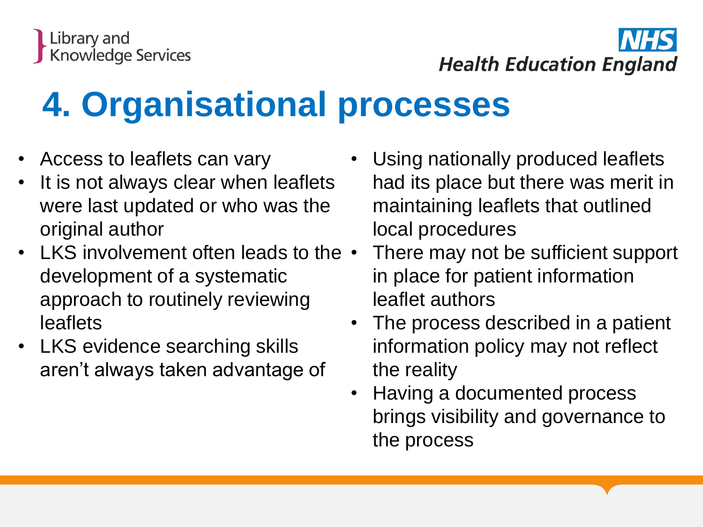## **4. Organisational processes**

- Access to leaflets can vary
- It is not always clear when leaflets were last updated or who was the original author
- LKS involvement often leads to the  $\cdot$ development of a systematic approach to routinely reviewing leaflets
- LKS evidence searching skills aren't always taken advantage of
- Using nationally produced leaflets had its place but there was merit in maintaining leaflets that outlined local procedures
- There may not be sufficient support in place for patient information leaflet authors
- The process described in a patient information policy may not reflect the reality
- Having a documented process brings visibility and governance to the process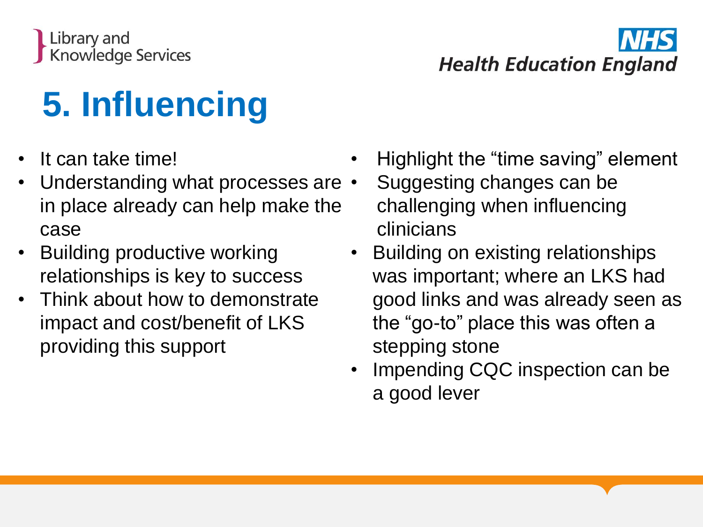

## **5. Influencing**

- It can take time!
- Understanding what processes are  $\cdot$ in place already can help make the case
- Building productive working relationships is key to success
- Think about how to demonstrate impact and cost/benefit of LKS providing this support
- Highlight the "time saving" element
- Suggesting changes can be challenging when influencing clinicians
- Building on existing relationships was important; where an LKS had good links and was already seen as the "go-to" place this was often a stepping stone
- Impending CQC inspection can be a good lever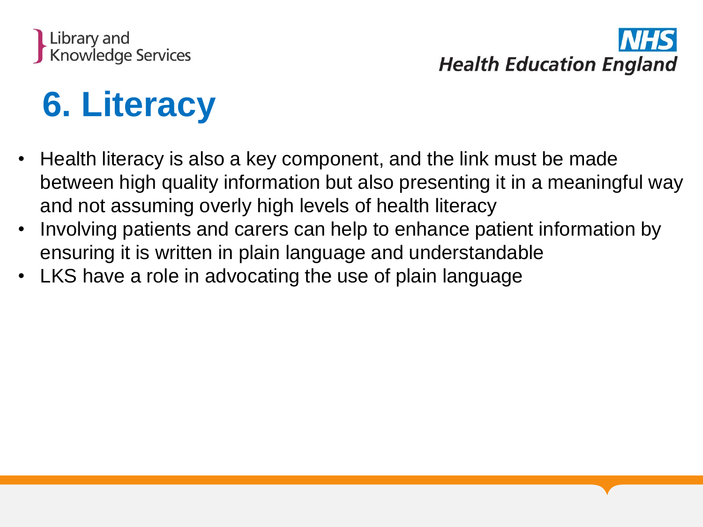

### **6. Literacy**

- Health literacy is also a key component, and the link must be made between high quality information but also presenting it in a meaningful way and not assuming overly high levels of health literacy
- Involving patients and carers can help to enhance patient information by ensuring it is written in plain language and understandable
- LKS have a role in advocating the use of plain language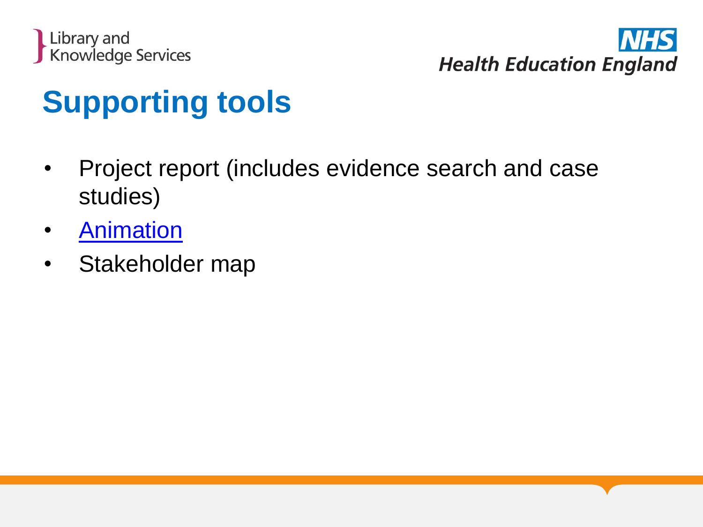



#### **Supporting tools**

- Project report (includes evidence search and case studies)
- [Animation](https://healtheducationengland.sharepoint.com/sites/HealthInformationProjectGroup/Shared%20Documents/Main%20animation_V.2.mp4)
- Stakeholder map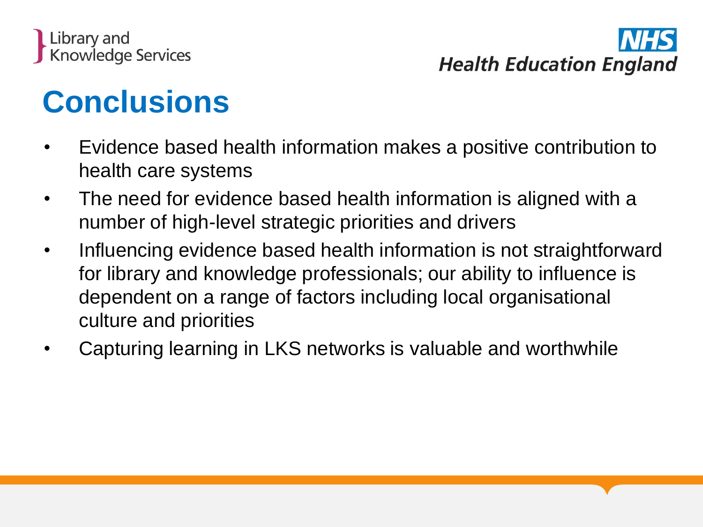

#### **Conclusions**

- Evidence based health information makes a positive contribution to health care systems
- The need for evidence based health information is aligned with a number of high-level strategic priorities and drivers
- Influencing evidence based health information is not straightforward for library and knowledge professionals; our ability to influence is dependent on a range of factors including local organisational culture and priorities
- Capturing learning in LKS networks is valuable and worthwhile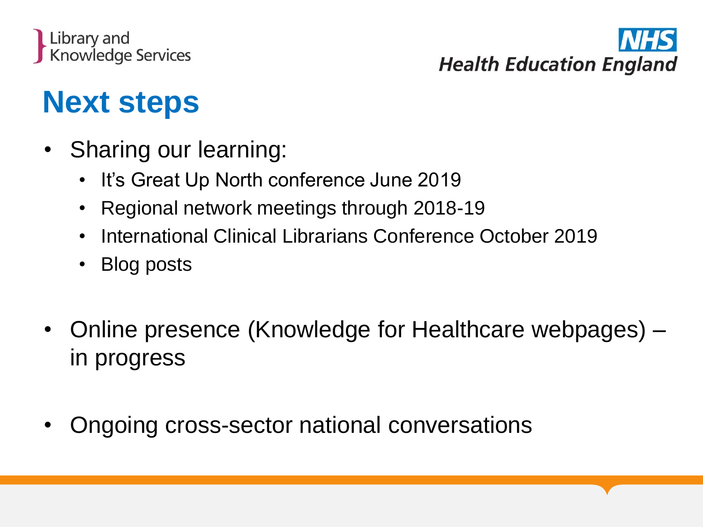



#### **Next steps**

- Sharing our learning:
	- It's Great Up North conference June 2019
	- Regional network meetings through 2018-19
	- International Clinical Librarians Conference October 2019
	- Blog posts
- Online presence (Knowledge for Healthcare webpages) in progress
- Ongoing cross-sector national conversations